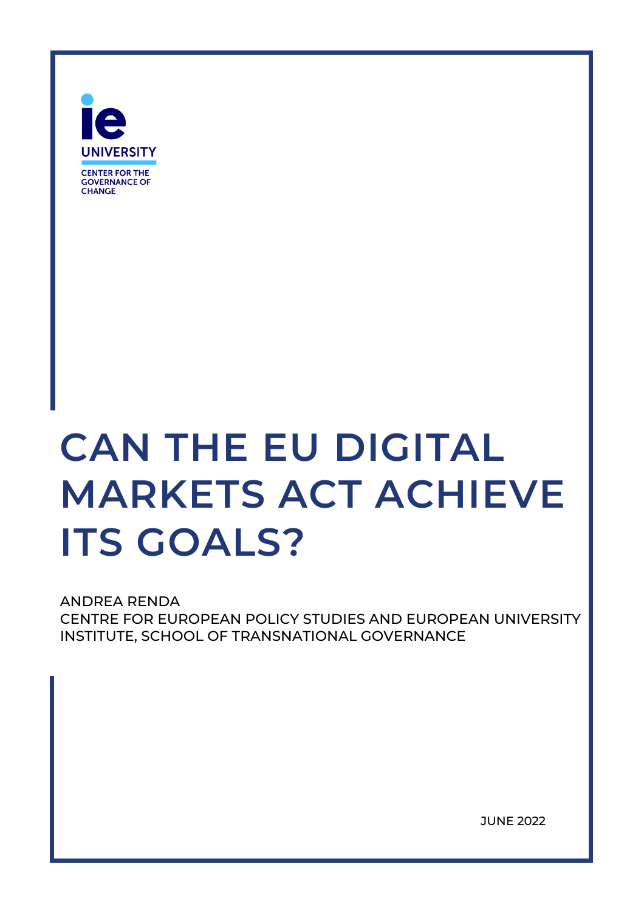

# **CAN THE EU DIGITAL MARKETS ACT ACHIEVE ITS GOALS?**

ANDREA RENDA CENTRE FOR EUROPEAN POLICY STUDIES AND EUROPEAN UNIVERSITY INSTITUTE, SCHOOL OF TRANSNATIONAL GOVERNANCE

JUNE 2022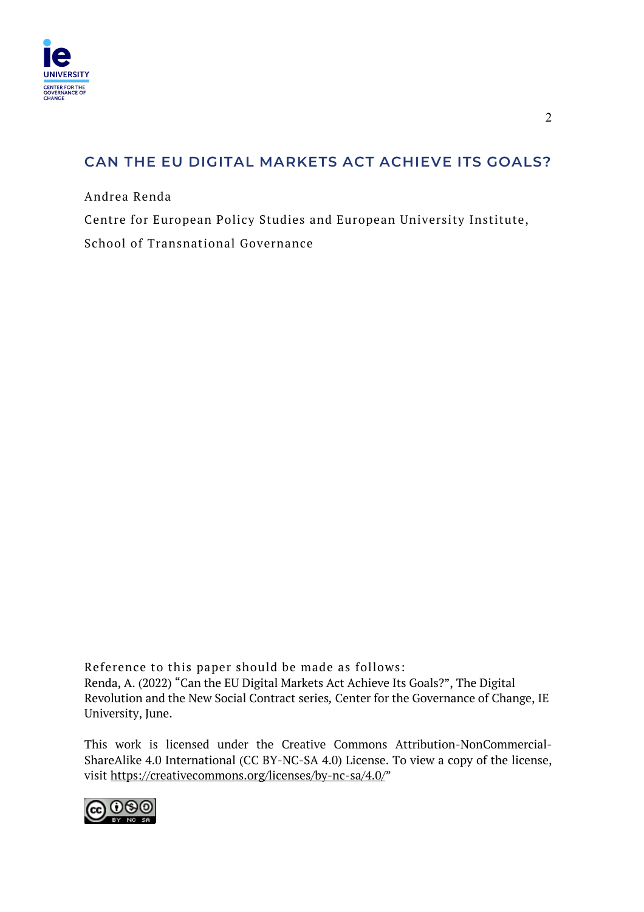

# **CAN THE EU DIGITAL MARKETS ACT ACHIEVE ITS GOALS?**

Andrea Renda

Centre for European Policy Studies and European University Institute, School of Transnational Governance

Reference to this paper should be made as follows: Renda, A. (2022) "Can the EU Digital Markets Act Achieve Its Goals?", The Digital Revolution and the New Social Contract series*,* Center for the Governance of Change, IE University, June.

This work is licensed under the Creative Commons Attribution-NonCommercial-ShareAlike 4.0 International (CC BY-NC-SA 4.0) License. To view a copy of the license, visit https://creativecommons.org/licenses/by-nc-sa/4.0/"

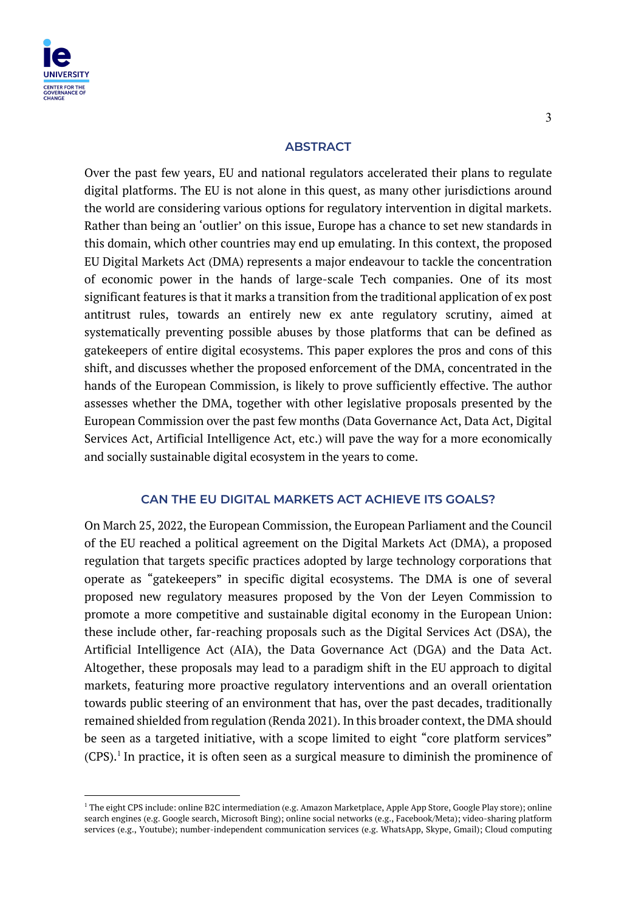

#### **ABSTRACT**

Over the past few years, EU and national regulators accelerated their plans to regulate digital platforms. The EU is not alone in this quest, as many other jurisdictions around the world are considering various options for regulatory intervention in digital markets. Rather than being an 'outlier' on this issue, Europe has a chance to set new standards in this domain, which other countries may end up emulating. In this context, the proposed EU Digital Markets Act (DMA) represents a major endeavour to tackle the concentration of economic power in the hands of large-scale Tech companies. One of its most significant features is that it marks a transition from the traditional application of ex post antitrust rules, towards an entirely new ex ante regulatory scrutiny, aimed at systematically preventing possible abuses by those platforms that can be defined as gatekeepers of entire digital ecosystems. This paper explores the pros and cons of this shift, and discusses whether the proposed enforcement of the DMA, concentrated in the hands of the European Commission, is likely to prove sufficiently effective. The author assesses whether the DMA, together with other legislative proposals presented by the European Commission over the past few months (Data Governance Act, Data Act, Digital Services Act, Artificial Intelligence Act, etc.) will pave the way for a more economically and socially sustainable digital ecosystem in the years to come.

#### **CAN THE EU DIGITAL MARKETS ACT ACHIEVE ITS GOALS?**

On March 25, 2022, the European Commission, the European Parliament and the Council of the EU reached a political agreement on the Digital Markets Act (DMA), a proposed regulation that targets specific practices adopted by large technology corporations that operate as "gatekeepers" in specific digital ecosystems. The DMA is one of several proposed new regulatory measures proposed by the Von der Leyen Commission to promote a more competitive and sustainable digital economy in the European Union: these include other, far-reaching proposals such as the Digital Services Act (DSA), the Artificial Intelligence Act (AIA), the Data Governance Act (DGA) and the Data Act. Altogether, these proposals may lead to a paradigm shift in the EU approach to digital markets, featuring more proactive regulatory interventions and an overall orientation towards public steering of an environment that has, over the past decades, traditionally remained shielded from regulation (Renda 2021). In this broader context, the DMA should be seen as a targeted initiative, with a scope limited to eight "core platform services"  $(CPS)$ .<sup>1</sup> In practice, it is often seen as a surgical measure to diminish the prominence of

<sup>&</sup>lt;sup>1</sup> The eight CPS include: online B2C intermediation (e.g. Amazon Marketplace, Apple App Store, Google Play store); online search engines (e.g. Google search, Microsoft Bing); online social networks (e.g., Facebook/Meta); video-sharing platform services (e.g., Youtube); number-independent communication services (e.g. WhatsApp, Skype, Gmail); Cloud computing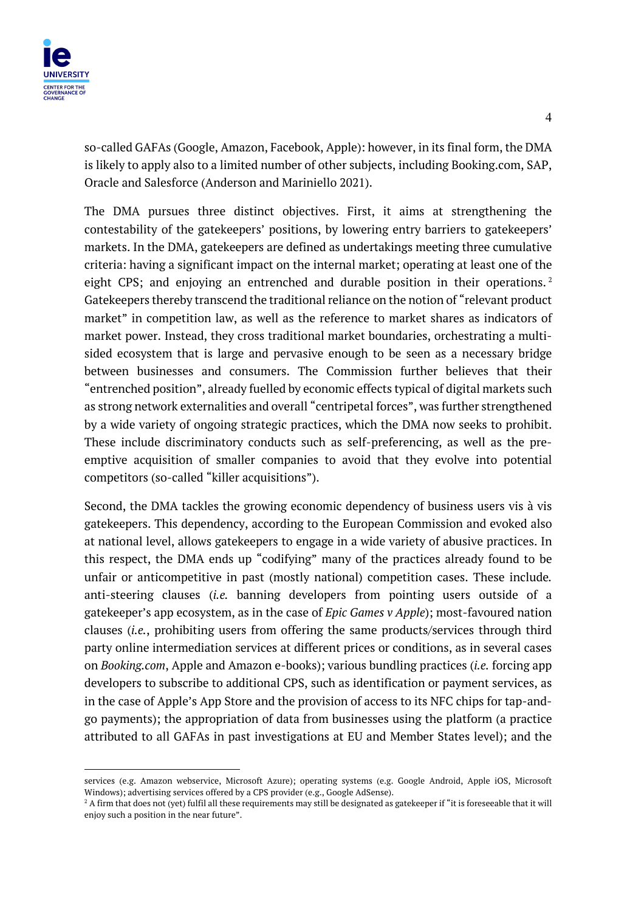

so-called GAFAs (Google, Amazon, Facebook, Apple): however, in its final form, the DMA is likely to apply also to a limited number of other subjects, including Booking.com, SAP, Oracle and Salesforce (Anderson and Mariniello 2021).

The DMA pursues three distinct objectives. First, it aims at strengthening the contestability of the gatekeepers' positions, by lowering entry barriers to gatekeepers' markets. In the DMA, gatekeepers are defined as undertakings meeting three cumulative criteria: having a significant impact on the internal market; operating at least one of the eight CPS; and enjoying an entrenched and durable position in their operations.<sup>2</sup> Gatekeepers thereby transcend the traditional reliance on the notion of "relevant product market" in competition law, as well as the reference to market shares as indicators of market power. Instead, they cross traditional market boundaries, orchestrating a multisided ecosystem that is large and pervasive enough to be seen as a necessary bridge between businesses and consumers. The Commission further believes that their "entrenched position", already fuelled by economic effects typical of digital markets such as strong network externalities and overall "centripetal forces", was further strengthened by a wide variety of ongoing strategic practices, which the DMA now seeks to prohibit. These include discriminatory conducts such as self-preferencing, as well as the preemptive acquisition of smaller companies to avoid that they evolve into potential competitors (so-called "killer acquisitions").

Second, the DMA tackles the growing economic dependency of business users vis à vis gatekeepers. This dependency, according to the European Commission and evoked also at national level, allows gatekeepers to engage in a wide variety of abusive practices. In this respect, the DMA ends up "codifying" many of the practices already found to be unfair or anticompetitive in past (mostly national) competition cases. These include*.* anti-steering clauses (*i.e.* banning developers from pointing users outside of a gatekeeper's app ecosystem, as in the case of *Epic Games v Apple*); most-favoured nation clauses (*i.e.*, prohibiting users from offering the same products/services through third party online intermediation services at different prices or conditions, as in several cases on *Booking.com*, Apple and Amazon e-books); various bundling practices (*i.e.* forcing app developers to subscribe to additional CPS, such as identification or payment services, as in the case of Apple's App Store and the provision of access to its NFC chips for tap-andgo payments); the appropriation of data from businesses using the platform (a practice attributed to all GAFAs in past investigations at EU and Member States level); and the

services (e.g. Amazon webservice, Microsoft Azure); operating systems (e.g. Google Android, Apple iOS, Microsoft Windows); advertising services offered by a CPS provider (e.g., Google AdSense).<br><sup>2</sup> A firm that does not (yet) fulfil all these requirements may still be designated as gatekeeper if "it is foreseeable that it will

enjoy such a position in the near future".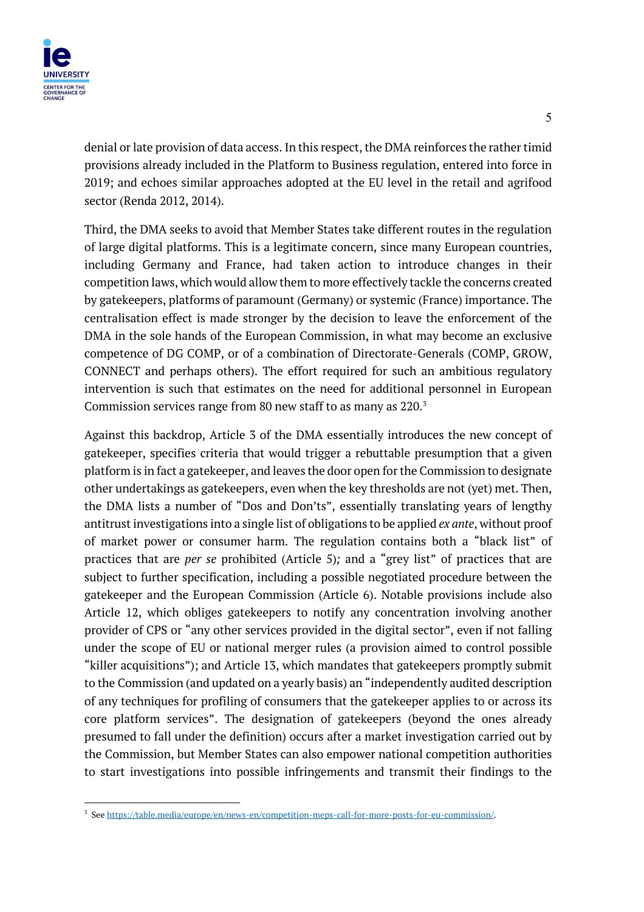

denial or late provision of data access. In this respect, the DMA reinforces the rather timid provisions already included in the Platform to Business regulation, entered into force in 2019; and echoes similar approaches adopted at the EU level in the retail and agrifood sector (Renda 2012, 2014).

Third, the DMA seeks to avoid that Member States take different routes in the regulation of large digital platforms. This is a legitimate concern, since many European countries, including Germany and France, had taken action to introduce changes in their competition laws, which would allow them to more effectively tackle the concerns created by gatekeepers, platforms of paramount (Germany) or systemic (France) importance. The centralisation effect is made stronger by the decision to leave the enforcement of the DMA in the sole hands of the European Commission, in what may become an exclusive competence of DG COMP, or of a combination of Directorate-Generals (COMP, GROW, CONNECT and perhaps others). The effort required for such an ambitious regulatory intervention is such that estimates on the need for additional personnel in European Commission services range from 80 new staff to as many as 220.3

Against this backdrop, Article 3 of the DMA essentially introduces the new concept of gatekeeper, specifies criteria that would trigger a rebuttable presumption that a given platform is in fact a gatekeeper, and leaves the door open for the Commission to designate other undertakings as gatekeepers, even when the key thresholds are not (yet) met. Then, the DMA lists a number of "Dos and Don'ts", essentially translating years of lengthy antitrust investigations into a single list of obligations to be applied *ex ante*, without proof of market power or consumer harm. The regulation contains both a "black list" of practices that are *per se* prohibited (Article 5)*;* and a "grey list" of practices that are subject to further specification, including a possible negotiated procedure between the gatekeeper and the European Commission (Article 6). Notable provisions include also Article 12, which obliges gatekeepers to notify any concentration involving another provider of CPS or "any other services provided in the digital sector", even if not falling under the scope of EU or national merger rules (a provision aimed to control possible "killer acquisitions"); and Article 13, which mandates that gatekeepers promptly submit to the Commission (and updated on a yearly basis) an "independently audited description of any techniques for profiling of consumers that the gatekeeper applies to or across its core platform services". The designation of gatekeepers (beyond the ones already presumed to fall under the definition) occurs after a market investigation carried out by the Commission, but Member States can also empower national competition authorities to start investigations into possible infringements and transmit their findings to the

<sup>3</sup> See https://table.media/europe/en/news-en/competition-meps-call-for-more-posts-for-eu-commission/.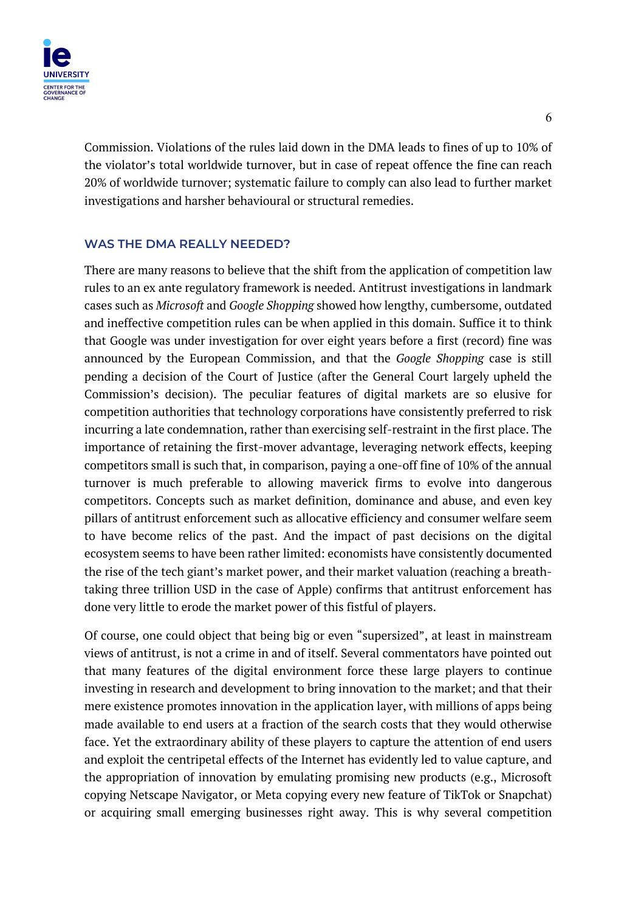

Commission. Violations of the rules laid down in the DMA leads to fines of up to 10% of the violator's total worldwide turnover, but in case of repeat offence the fine can reach 20% of worldwide turnover; systematic failure to comply can also lead to further market investigations and harsher behavioural or structural remedies.

### **WAS THE DMA REALLY NEEDED?**

There are many reasons to believe that the shift from the application of competition law rules to an ex ante regulatory framework is needed. Antitrust investigations in landmark cases such as *Microsoft* and *Google Shopping* showed how lengthy, cumbersome, outdated and ineffective competition rules can be when applied in this domain. Suffice it to think that Google was under investigation for over eight years before a first (record) fine was announced by the European Commission, and that the *Google Shopping* case is still pending a decision of the Court of Justice (after the General Court largely upheld the Commission's decision). The peculiar features of digital markets are so elusive for competition authorities that technology corporations have consistently preferred to risk incurring a late condemnation, rather than exercising self-restraint in the first place. The importance of retaining the first-mover advantage, leveraging network effects, keeping competitors small is such that, in comparison, paying a one-off fine of 10% of the annual turnover is much preferable to allowing maverick firms to evolve into dangerous competitors. Concepts such as market definition, dominance and abuse, and even key pillars of antitrust enforcement such as allocative efficiency and consumer welfare seem to have become relics of the past. And the impact of past decisions on the digital ecosystem seems to have been rather limited: economists have consistently documented the rise of the tech giant's market power, and their market valuation (reaching a breathtaking three trillion USD in the case of Apple) confirms that antitrust enforcement has done very little to erode the market power of this fistful of players.

Of course, one could object that being big or even "supersized", at least in mainstream views of antitrust, is not a crime in and of itself. Several commentators have pointed out that many features of the digital environment force these large players to continue investing in research and development to bring innovation to the market; and that their mere existence promotes innovation in the application layer, with millions of apps being made available to end users at a fraction of the search costs that they would otherwise face. Yet the extraordinary ability of these players to capture the attention of end users and exploit the centripetal effects of the Internet has evidently led to value capture, and the appropriation of innovation by emulating promising new products (e.g., Microsoft copying Netscape Navigator, or Meta copying every new feature of TikTok or Snapchat) or acquiring small emerging businesses right away. This is why several competition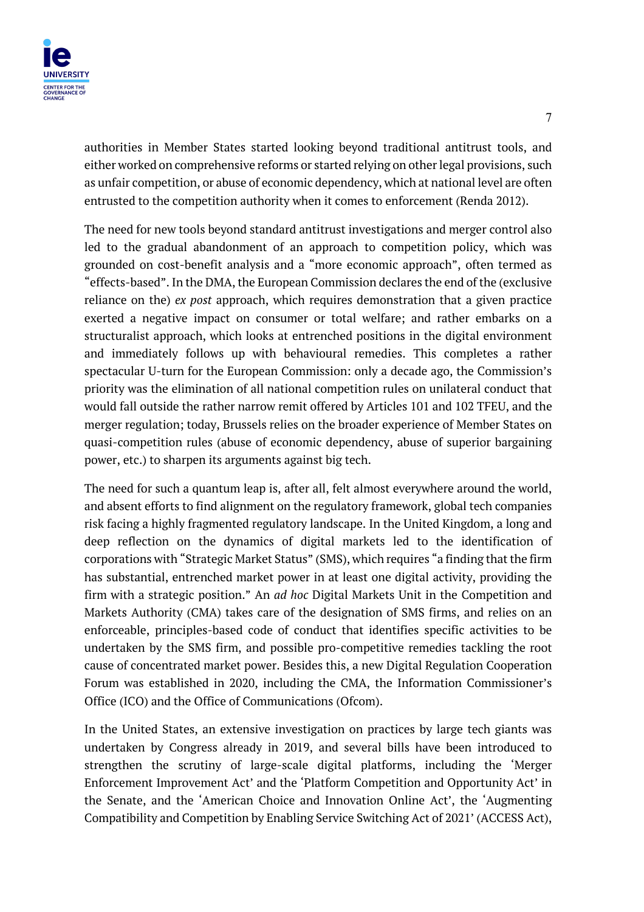

authorities in Member States started looking beyond traditional antitrust tools, and either worked on comprehensive reforms or started relying on other legal provisions, such as unfair competition, or abuse of economic dependency, which at national level are often entrusted to the competition authority when it comes to enforcement (Renda 2012).

The need for new tools beyond standard antitrust investigations and merger control also led to the gradual abandonment of an approach to competition policy, which was grounded on cost-benefit analysis and a "more economic approach", often termed as "effects-based". In the DMA, the European Commission declares the end of the (exclusive reliance on the) *ex post* approach, which requires demonstration that a given practice exerted a negative impact on consumer or total welfare; and rather embarks on a structuralist approach, which looks at entrenched positions in the digital environment and immediately follows up with behavioural remedies. This completes a rather spectacular U-turn for the European Commission: only a decade ago, the Commission's priority was the elimination of all national competition rules on unilateral conduct that would fall outside the rather narrow remit offered by Articles 101 and 102 TFEU, and the merger regulation; today, Brussels relies on the broader experience of Member States on quasi-competition rules (abuse of economic dependency, abuse of superior bargaining power, etc.) to sharpen its arguments against big tech.

The need for such a quantum leap is, after all, felt almost everywhere around the world, and absent efforts to find alignment on the regulatory framework, global tech companies risk facing a highly fragmented regulatory landscape. In the United Kingdom, a long and deep reflection on the dynamics of digital markets led to the identification of corporations with "Strategic Market Status" (SMS), which requires "a finding that the firm has substantial, entrenched market power in at least one digital activity, providing the firm with a strategic position." An *ad hoc* Digital Markets Unit in the Competition and Markets Authority (CMA) takes care of the designation of SMS firms, and relies on an enforceable, principles-based code of conduct that identifies specific activities to be undertaken by the SMS firm, and possible pro-competitive remedies tackling the root cause of concentrated market power. Besides this, a new Digital Regulation Cooperation Forum was established in 2020, including the CMA, the Information Commissioner's Office (ICO) and the Office of Communications (Ofcom).

In the United States, an extensive investigation on practices by large tech giants was undertaken by Congress already in 2019, and several bills have been introduced to strengthen the scrutiny of large-scale digital platforms, including the 'Merger Enforcement Improvement Act' and the 'Platform Competition and Opportunity Act' in the Senate, and the 'American Choice and Innovation Online Act', the 'Augmenting Compatibility and Competition by Enabling Service Switching Act of 2021' (ACCESS Act),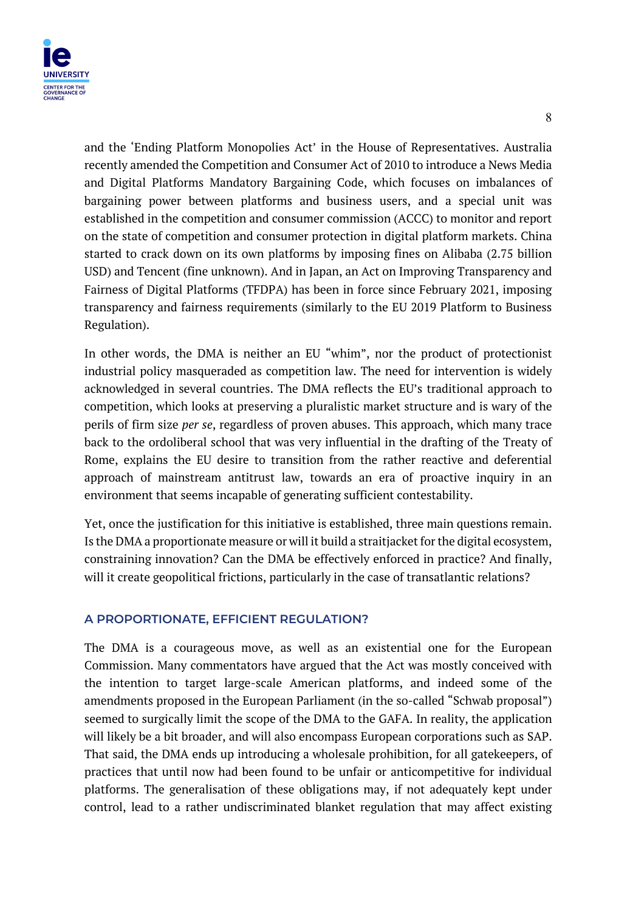

and the 'Ending Platform Monopolies Act' in the House of Representatives. Australia recently amended the Competition and Consumer Act of 2010 to introduce a News Media and Digital Platforms Mandatory Bargaining Code, which focuses on imbalances of bargaining power between platforms and business users, and a special unit was established in the competition and consumer commission (ACCC) to monitor and report on the state of competition and consumer protection in digital platform markets. China started to crack down on its own platforms by imposing fines on Alibaba (2.75 billion USD) and Tencent (fine unknown). And in Japan, an Act on Improving Transparency and Fairness of Digital Platforms (TFDPA) has been in force since February 2021, imposing transparency and fairness requirements (similarly to the EU 2019 Platform to Business Regulation).

In other words, the DMA is neither an EU "whim", nor the product of protectionist industrial policy masqueraded as competition law. The need for intervention is widely acknowledged in several countries. The DMA reflects the EU's traditional approach to competition, which looks at preserving a pluralistic market structure and is wary of the perils of firm size *per se*, regardless of proven abuses. This approach, which many trace back to the ordoliberal school that was very influential in the drafting of the Treaty of Rome, explains the EU desire to transition from the rather reactive and deferential approach of mainstream antitrust law, towards an era of proactive inquiry in an environment that seems incapable of generating sufficient contestability.

Yet, once the justification for this initiative is established, three main questions remain. Is the DMA a proportionate measure or will it build a straitjacket for the digital ecosystem, constraining innovation? Can the DMA be effectively enforced in practice? And finally, will it create geopolitical frictions, particularly in the case of transatlantic relations?

#### **A PROPORTIONATE, EFFICIENT REGULATION?**

The DMA is a courageous move, as well as an existential one for the European Commission. Many commentators have argued that the Act was mostly conceived with the intention to target large-scale American platforms, and indeed some of the amendments proposed in the European Parliament (in the so-called "Schwab proposal") seemed to surgically limit the scope of the DMA to the GAFA. In reality, the application will likely be a bit broader, and will also encompass European corporations such as SAP. That said, the DMA ends up introducing a wholesale prohibition, for all gatekeepers, of practices that until now had been found to be unfair or anticompetitive for individual platforms. The generalisation of these obligations may, if not adequately kept under control, lead to a rather undiscriminated blanket regulation that may affect existing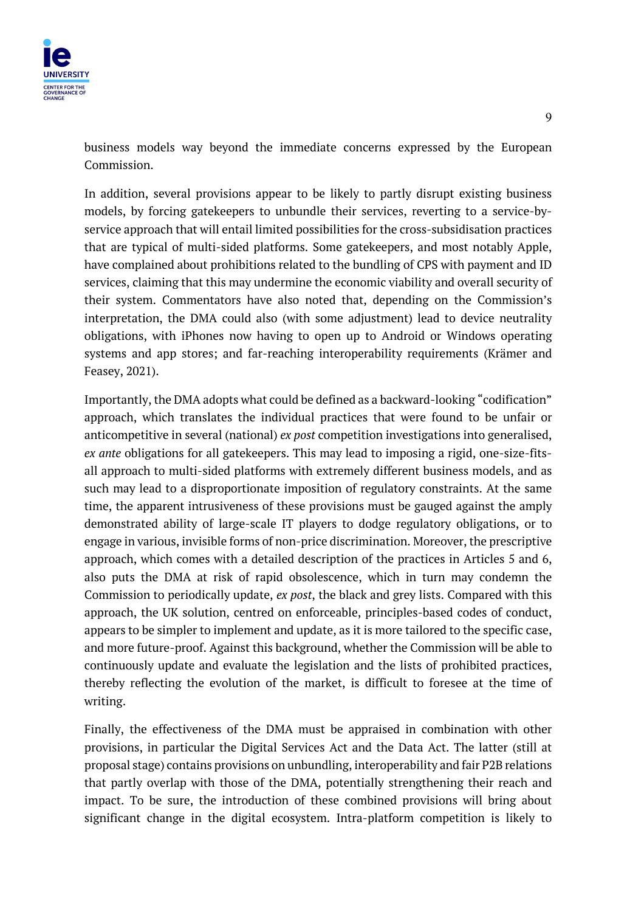

business models way beyond the immediate concerns expressed by the European Commission.

In addition, several provisions appear to be likely to partly disrupt existing business models, by forcing gatekeepers to unbundle their services, reverting to a service-byservice approach that will entail limited possibilities for the cross-subsidisation practices that are typical of multi-sided platforms. Some gatekeepers, and most notably Apple, have complained about prohibitions related to the bundling of CPS with payment and ID services, claiming that this may undermine the economic viability and overall security of their system. Commentators have also noted that, depending on the Commission's interpretation, the DMA could also (with some adjustment) lead to device neutrality obligations, with iPhones now having to open up to Android or Windows operating systems and app stores; and far-reaching interoperability requirements (Krämer and Feasey, 2021).

Importantly, the DMA adopts what could be defined as a backward-looking "codification" approach, which translates the individual practices that were found to be unfair or anticompetitive in several (national) *ex post* competition investigations into generalised, *ex ante* obligations for all gatekeepers. This may lead to imposing a rigid, one-size-fitsall approach to multi-sided platforms with extremely different business models, and as such may lead to a disproportionate imposition of regulatory constraints. At the same time, the apparent intrusiveness of these provisions must be gauged against the amply demonstrated ability of large-scale IT players to dodge regulatory obligations, or to engage in various, invisible forms of non-price discrimination. Moreover, the prescriptive approach, which comes with a detailed description of the practices in Articles 5 and 6, also puts the DMA at risk of rapid obsolescence, which in turn may condemn the Commission to periodically update, *ex post*, the black and grey lists. Compared with this approach, the UK solution, centred on enforceable, principles-based codes of conduct, appears to be simpler to implement and update, as it is more tailored to the specific case, and more future-proof. Against this background, whether the Commission will be able to continuously update and evaluate the legislation and the lists of prohibited practices, thereby reflecting the evolution of the market, is difficult to foresee at the time of writing.

Finally, the effectiveness of the DMA must be appraised in combination with other provisions, in particular the Digital Services Act and the Data Act. The latter (still at proposal stage) contains provisions on unbundling, interoperability and fair P2B relations that partly overlap with those of the DMA, potentially strengthening their reach and impact. To be sure, the introduction of these combined provisions will bring about significant change in the digital ecosystem. Intra-platform competition is likely to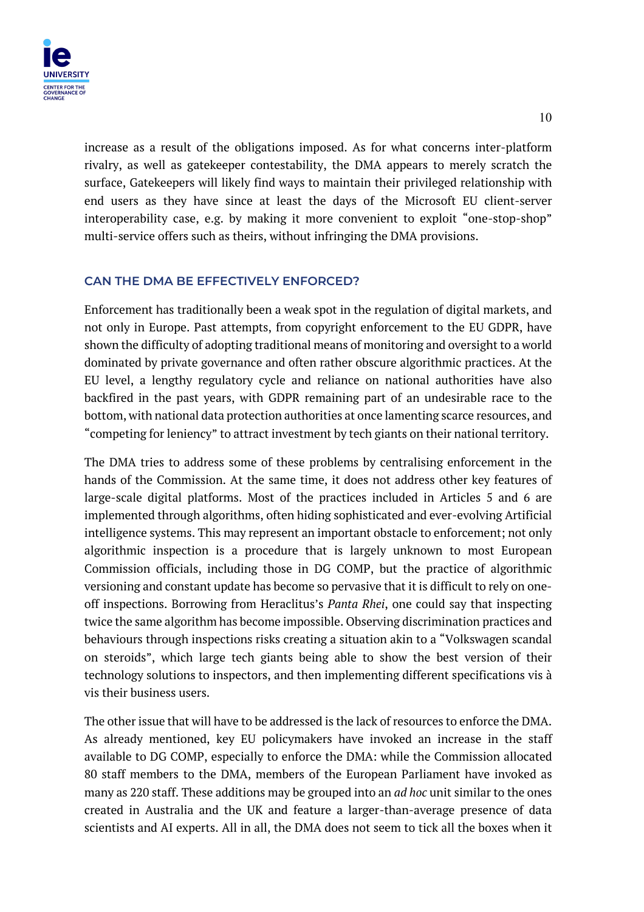

increase as a result of the obligations imposed. As for what concerns inter-platform rivalry, as well as gatekeeper contestability, the DMA appears to merely scratch the surface, Gatekeepers will likely find ways to maintain their privileged relationship with end users as they have since at least the days of the Microsoft EU client-server interoperability case, e.g. by making it more convenient to exploit "one-stop-shop" multi-service offers such as theirs, without infringing the DMA provisions.

# **CAN THE DMA BE EFFECTIVELY ENFORCED?**

Enforcement has traditionally been a weak spot in the regulation of digital markets, and not only in Europe. Past attempts, from copyright enforcement to the EU GDPR, have shown the difficulty of adopting traditional means of monitoring and oversight to a world dominated by private governance and often rather obscure algorithmic practices. At the EU level, a lengthy regulatory cycle and reliance on national authorities have also backfired in the past years, with GDPR remaining part of an undesirable race to the bottom, with national data protection authorities at once lamenting scarce resources, and "competing for leniency" to attract investment by tech giants on their national territory.

The DMA tries to address some of these problems by centralising enforcement in the hands of the Commission. At the same time, it does not address other key features of large-scale digital platforms. Most of the practices included in Articles 5 and 6 are implemented through algorithms, often hiding sophisticated and ever-evolving Artificial intelligence systems. This may represent an important obstacle to enforcement; not only algorithmic inspection is a procedure that is largely unknown to most European Commission officials, including those in DG COMP, but the practice of algorithmic versioning and constant update has become so pervasive that it is difficult to rely on oneoff inspections. Borrowing from Heraclitus's *Panta Rhei*, one could say that inspecting twice the same algorithm has become impossible. Observing discrimination practices and behaviours through inspections risks creating a situation akin to a "Volkswagen scandal on steroids", which large tech giants being able to show the best version of their technology solutions to inspectors, and then implementing different specifications vis à vis their business users.

The other issue that will have to be addressed is the lack of resources to enforce the DMA. As already mentioned, key EU policymakers have invoked an increase in the staff available to DG COMP, especially to enforce the DMA: while the Commission allocated 80 staff members to the DMA, members of the European Parliament have invoked as many as 220 staff. These additions may be grouped into an *ad hoc* unit similar to the ones created in Australia and the UK and feature a larger-than-average presence of data scientists and AI experts. All in all, the DMA does not seem to tick all the boxes when it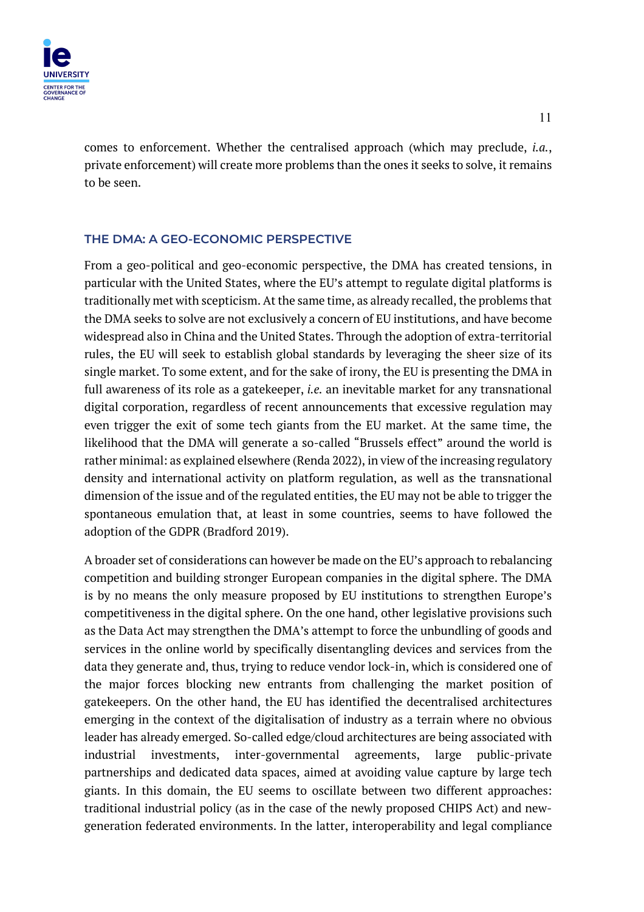

comes to enforcement. Whether the centralised approach (which may preclude, *i.a.*, private enforcement) will create more problems than the ones it seeks to solve, it remains to be seen.

# **THE DMA: A GEO-ECONOMIC PERSPECTIVE**

From a geo-political and geo-economic perspective, the DMA has created tensions, in particular with the United States, where the EU's attempt to regulate digital platforms is traditionally met with scepticism. At the same time, as already recalled, the problems that the DMA seeks to solve are not exclusively a concern of EU institutions, and have become widespread also in China and the United States. Through the adoption of extra-territorial rules, the EU will seek to establish global standards by leveraging the sheer size of its single market. To some extent, and for the sake of irony, the EU is presenting the DMA in full awareness of its role as a gatekeeper, *i.e.* an inevitable market for any transnational digital corporation, regardless of recent announcements that excessive regulation may even trigger the exit of some tech giants from the EU market. At the same time, the likelihood that the DMA will generate a so-called "Brussels effect" around the world is rather minimal: as explained elsewhere (Renda 2022), in view of the increasing regulatory density and international activity on platform regulation, as well as the transnational dimension of the issue and of the regulated entities, the EU may not be able to trigger the spontaneous emulation that, at least in some countries, seems to have followed the adoption of the GDPR (Bradford 2019).

A broader set of considerations can however be made on the EU's approach to rebalancing competition and building stronger European companies in the digital sphere. The DMA is by no means the only measure proposed by EU institutions to strengthen Europe's competitiveness in the digital sphere. On the one hand, other legislative provisions such as the Data Act may strengthen the DMA's attempt to force the unbundling of goods and services in the online world by specifically disentangling devices and services from the data they generate and, thus, trying to reduce vendor lock-in, which is considered one of the major forces blocking new entrants from challenging the market position of gatekeepers. On the other hand, the EU has identified the decentralised architectures emerging in the context of the digitalisation of industry as a terrain where no obvious leader has already emerged. So-called edge/cloud architectures are being associated with industrial investments, inter-governmental agreements, large public-private partnerships and dedicated data spaces, aimed at avoiding value capture by large tech giants. In this domain, the EU seems to oscillate between two different approaches: traditional industrial policy (as in the case of the newly proposed CHIPS Act) and newgeneration federated environments. In the latter, interoperability and legal compliance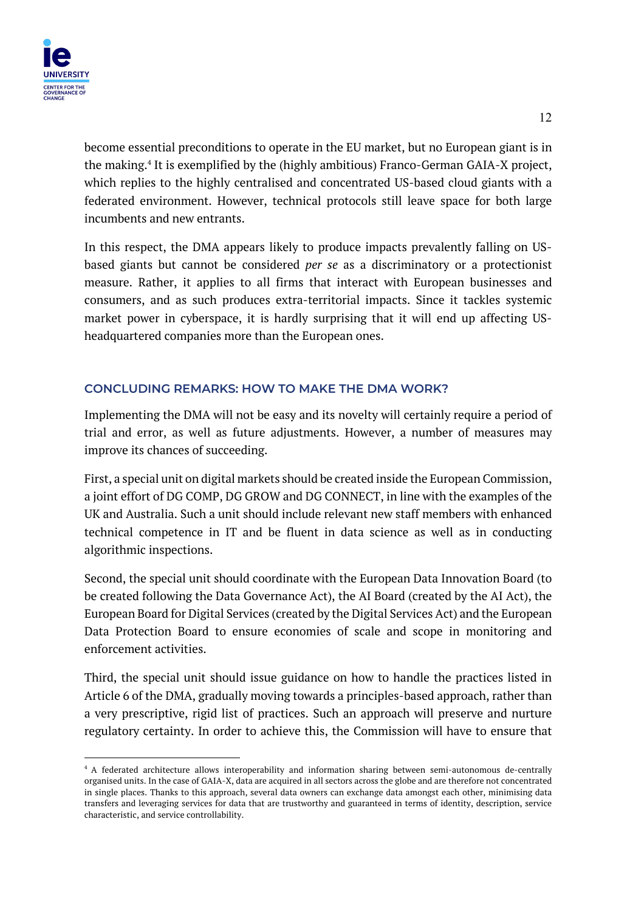

become essential preconditions to operate in the EU market, but no European giant is in the making.4 It is exemplified by the (highly ambitious) Franco-German GAIA-X project, which replies to the highly centralised and concentrated US-based cloud giants with a federated environment. However, technical protocols still leave space for both large incumbents and new entrants.

In this respect, the DMA appears likely to produce impacts prevalently falling on USbased giants but cannot be considered *per se* as a discriminatory or a protectionist measure. Rather, it applies to all firms that interact with European businesses and consumers, and as such produces extra-territorial impacts. Since it tackles systemic market power in cyberspace, it is hardly surprising that it will end up affecting USheadquartered companies more than the European ones.

# **CONCLUDING REMARKS: HOW TO MAKE THE DMA WORK?**

Implementing the DMA will not be easy and its novelty will certainly require a period of trial and error, as well as future adjustments. However, a number of measures may improve its chances of succeeding.

First, a special unit on digital markets should be created inside the European Commission, a joint effort of DG COMP, DG GROW and DG CONNECT, in line with the examples of the UK and Australia. Such a unit should include relevant new staff members with enhanced technical competence in IT and be fluent in data science as well as in conducting algorithmic inspections.

Second, the special unit should coordinate with the European Data Innovation Board (to be created following the Data Governance Act), the AI Board (created by the AI Act), the European Board for Digital Services (created by the Digital Services Act) and the European Data Protection Board to ensure economies of scale and scope in monitoring and enforcement activities.

Third, the special unit should issue guidance on how to handle the practices listed in Article 6 of the DMA, gradually moving towards a principles-based approach, rather than a very prescriptive, rigid list of practices. Such an approach will preserve and nurture regulatory certainty. In order to achieve this, the Commission will have to ensure that

<sup>&</sup>lt;sup>4</sup> A federated architecture allows interoperability and information sharing between semi-autonomous de-centrally organised units. In the case of GAIA-X, data are acquired in all sectors across the globe and are therefore not concentrated in single places. Thanks to this approach, several data owners can exchange data amongst each other, minimising data transfers and leveraging services for data that are trustworthy and guaranteed in terms of identity, description, service characteristic, and service controllability.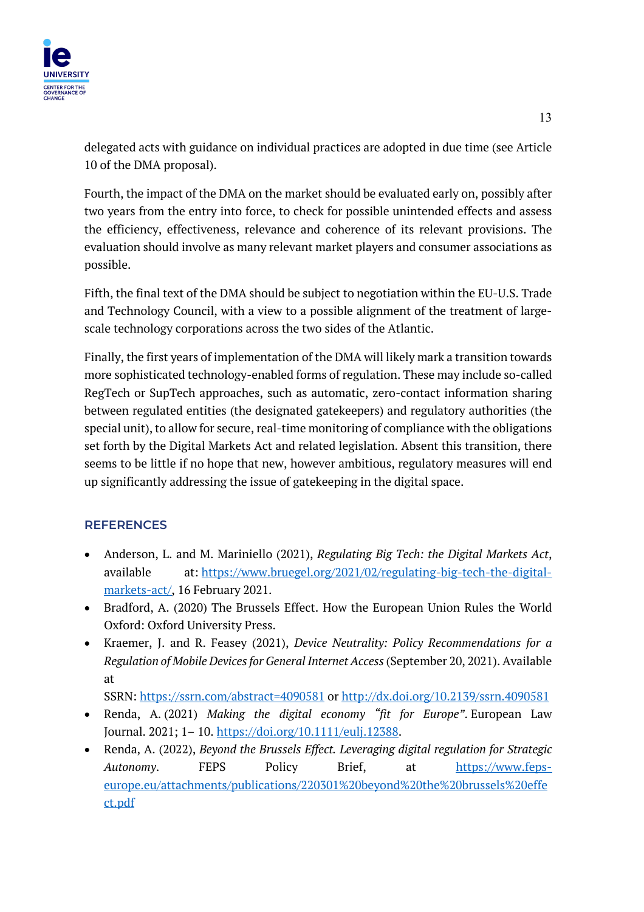

delegated acts with guidance on individual practices are adopted in due time (see Article 10 of the DMA proposal).

Fourth, the impact of the DMA on the market should be evaluated early on, possibly after two years from the entry into force, to check for possible unintended effects and assess the efficiency, effectiveness, relevance and coherence of its relevant provisions. The evaluation should involve as many relevant market players and consumer associations as possible.

Fifth, the final text of the DMA should be subject to negotiation within the EU-U.S. Trade and Technology Council, with a view to a possible alignment of the treatment of largescale technology corporations across the two sides of the Atlantic.

Finally, the first years of implementation of the DMA will likely mark a transition towards more sophisticated technology-enabled forms of regulation. These may include so-called RegTech or SupTech approaches, such as automatic, zero-contact information sharing between regulated entities (the designated gatekeepers) and regulatory authorities (the special unit), to allow for secure, real-time monitoring of compliance with the obligations set forth by the Digital Markets Act and related legislation. Absent this transition, there seems to be little if no hope that new, however ambitious, regulatory measures will end up significantly addressing the issue of gatekeeping in the digital space.

# **REFERENCES**

- Anderson, L. and M. Mariniello (2021), *Regulating Big Tech: the Digital Markets Act*, available at: https://www.bruegel.org/2021/02/regulating-big-tech-the-digitalmarkets-act/, 16 February 2021.
- Bradford, A. (2020) The Brussels Effect. How the European Union Rules the World Oxford: Oxford University Press.
- Kraemer, J. and R. Feasey (2021), *Device Neutrality: Policy Recommendations for a Regulation of Mobile Devices for General Internet Access* (September 20, 2021). Available at

SSRN: https://ssrn.com/abstract=4090581 or http://dx.doi.org/10.2139/ssrn.4090581

- Renda, A. (2021) *Making the digital economy "fit for Europe"*. European Law Journal. 2021; 1– 10. https://doi.org/10.1111/eulj.12388.
- Renda, A. (2022), *Beyond the Brussels Effect. Leveraging digital regulation for Strategic Autonomy*. FEPS Policy Brief, at https://www.fepseurope.eu/attachments/publications/220301%20beyond%20the%20brussels%20effe ct.pdf